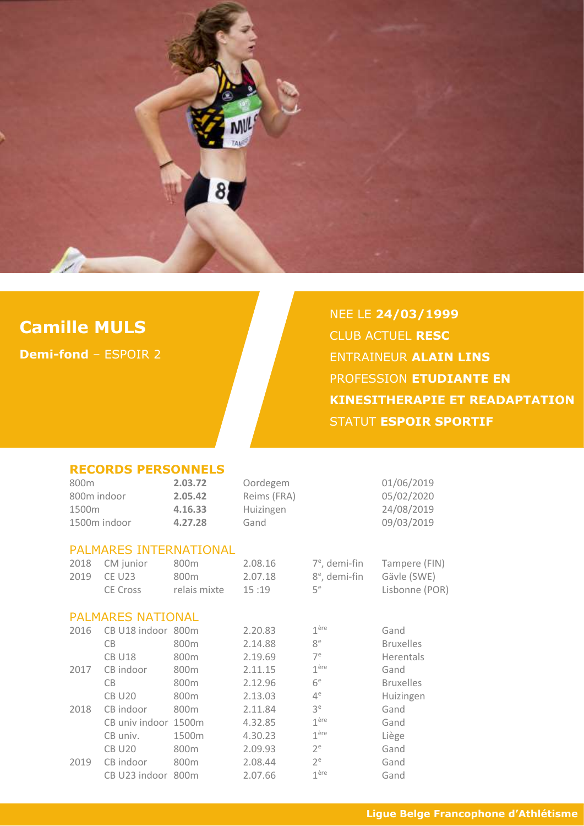

## **Camille MULS**

**Demi-fond** – ESPOIR 2

# NEE LE **24/03/1999** CLUB ACTUEL **RESC** ENTRAINEUR **ALAIN LINS** PROFESSION **ETUDIANTE EN KINESITHERAPIE ET READAPTATION** STATUT **ESPOIR SPORTIF**

### **RECORDS PERSONNELS**

| 800 <sub>m</sub><br>800m indoor<br>1500m<br>1500m indoor |                                               | 2.03.72<br>2.05.42<br>4.16.33<br>4.27.28 | Oordegem<br>Reims (FRA)<br>Huizingen<br>Gand |                                                                 | 01/06/2019<br>05/02/2020<br>24/08/2019<br>09/03/2019 |
|----------------------------------------------------------|-----------------------------------------------|------------------------------------------|----------------------------------------------|-----------------------------------------------------------------|------------------------------------------------------|
|                                                          | <b>PALMARES INTERNATIONAL</b>                 |                                          |                                              |                                                                 |                                                      |
| 2018<br>2019                                             | CM junior<br><b>CE U23</b><br><b>CE Cross</b> | 800m<br>800m<br>relais mixte             | 2.08.16<br>2.07.18<br>15:19                  | $7^e$ , demi-fin<br>8 <sup>e</sup> , demi-fin<br>5 <sup>e</sup> | Tampere (FIN)<br>Gävle (SWE)<br>Lisbonne (POR)       |
|                                                          | <b>PALMARES NATIONAL</b>                      |                                          |                                              |                                                                 |                                                      |
| 2016                                                     | CB U18 indoor 800m                            |                                          | 2.20.83                                      | 1 <sup>ère</sup>                                                | Gand                                                 |
|                                                          | CB                                            | 800m                                     | 2.14.88                                      | 8 <sup>e</sup>                                                  | <b>Bruxelles</b>                                     |
|                                                          | <b>CB U18</b>                                 | 800m                                     | 2.19.69                                      | 7 <sup>e</sup>                                                  | Herentals                                            |
| 2017                                                     | CB indoor                                     | 800m                                     | 2.11.15                                      | 1 <sup>ère</sup>                                                | Gand                                                 |
|                                                          | CB                                            | 800m                                     | 2.12.96                                      | 6 <sup>e</sup>                                                  | <b>Bruxelles</b>                                     |
|                                                          | <b>CB U20</b>                                 | 800m                                     | 2.13.03                                      | $4^e$                                                           | Huizingen                                            |
| 2018                                                     | CB indoor                                     | 800m                                     | 2.11.84                                      | 3 <sup>e</sup>                                                  | Gand                                                 |
|                                                          | CB univ indoor                                | 1500m                                    | 4.32.85                                      | 1 <sup>ère</sup>                                                | Gand                                                 |
|                                                          | CB univ.                                      | 1500m                                    | 4.30.23                                      | 1 <sup>ère</sup>                                                | Liège                                                |
|                                                          | <b>CB U20</b>                                 | 800m                                     | 2.09.93                                      | $2^e$                                                           | Gand                                                 |
| 2019                                                     | CB indoor                                     | 800 <sub>m</sub>                         | 2.08.44                                      | $2^e$                                                           | Gand                                                 |
|                                                          | CB U23 indoor                                 | 800m                                     | 2.07.66                                      | 1 <sup>ère</sup>                                                | Gand                                                 |